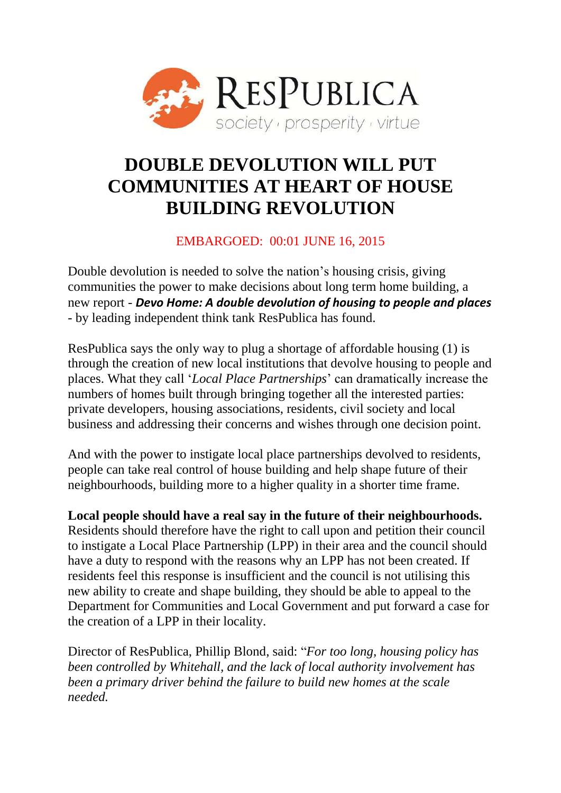

# **DOUBLE DEVOLUTION WILL PUT COMMUNITIES AT HEART OF HOUSE BUILDING REVOLUTION**

### EMBARGOED: 00:01 JUNE 16, 2015

Double devolution is needed to solve the nation's housing crisis, giving communities the power to make decisions about long term home building, a new report - *Devo Home: A double devolution of housing to people and places* - by leading independent think tank ResPublica has found.

ResPublica says the only way to plug a shortage of affordable housing (1) is through the creation of new local institutions that devolve housing to people and places. What they call '*Local Place Partnerships*' can dramatically increase the numbers of homes built through bringing together all the interested parties: private developers, housing associations, residents, civil society and local business and addressing their concerns and wishes through one decision point.

And with the power to instigate local place partnerships devolved to residents, people can take real control of house building and help shape future of their neighbourhoods, building more to a higher quality in a shorter time frame.

**Local people should have a real say in the future of their neighbourhoods.**  Residents should therefore have the right to call upon and petition their council to instigate a Local Place Partnership (LPP) in their area and the council should have a duty to respond with the reasons why an LPP has not been created. If residents feel this response is insufficient and the council is not utilising this new ability to create and shape building, they should be able to appeal to the Department for Communities and Local Government and put forward a case for the creation of a LPP in their locality.

Director of ResPublica, Phillip Blond, said: "*For too long, housing policy has been controlled by Whitehall, and the lack of local authority involvement has been a primary driver behind the failure to build new homes at the scale needed.*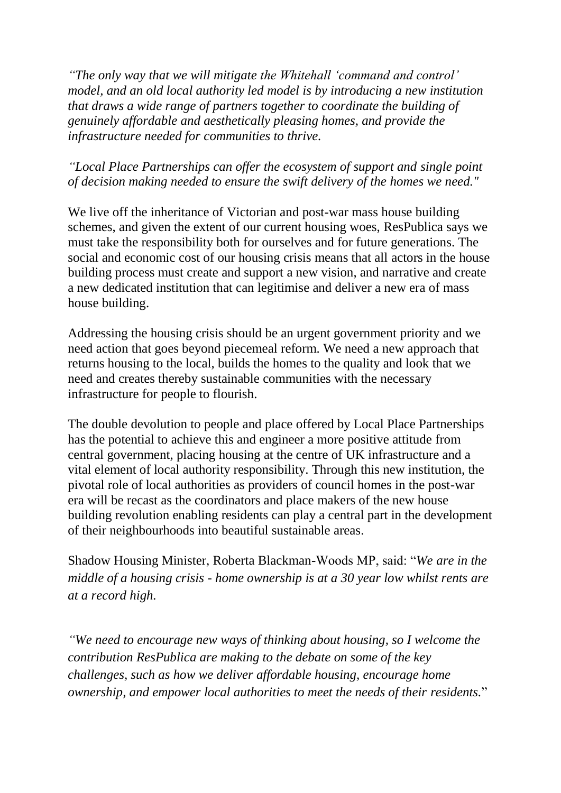*"The only way that we will mitigate the Whitehall 'command and control' model, and an old local authority led model is by introducing a new institution that draws a wide range of partners together to coordinate the building of genuinely affordable and aesthetically pleasing homes, and provide the infrastructure needed for communities to thrive.*

#### *"Local Place Partnerships can offer the ecosystem of support and single point of decision making needed to ensure the swift delivery of the homes we need."*

We live off the inheritance of Victorian and post-war mass house building schemes, and given the extent of our current housing woes, ResPublica says we must take the responsibility both for ourselves and for future generations. The social and economic cost of our housing crisis means that all actors in the house building process must create and support a new vision, and narrative and create a new dedicated institution that can legitimise and deliver a new era of mass house building.

Addressing the housing crisis should be an urgent government priority and we need action that goes beyond piecemeal reform. We need a new approach that returns housing to the local, builds the homes to the quality and look that we need and creates thereby sustainable communities with the necessary infrastructure for people to flourish.

The double devolution to people and place offered by Local Place Partnerships has the potential to achieve this and engineer a more positive attitude from central government, placing housing at the centre of UK infrastructure and a vital element of local authority responsibility. Through this new institution, the pivotal role of local authorities as providers of council homes in the post-war era will be recast as the coordinators and place makers of the new house building revolution enabling residents can play a central part in the development of their neighbourhoods into beautiful sustainable areas.

Shadow Housing Minister, Roberta Blackman-Woods MP, said: "*We are in the middle of a housing crisis - home ownership is at a 30 year low whilst rents are at a record high.* 

*"We need to encourage new ways of thinking about housing, so I welcome the contribution ResPublica are making to the debate on some of the key challenges, such as how we deliver affordable housing, encourage home ownership, and empower local authorities to meet the needs of their residents.*"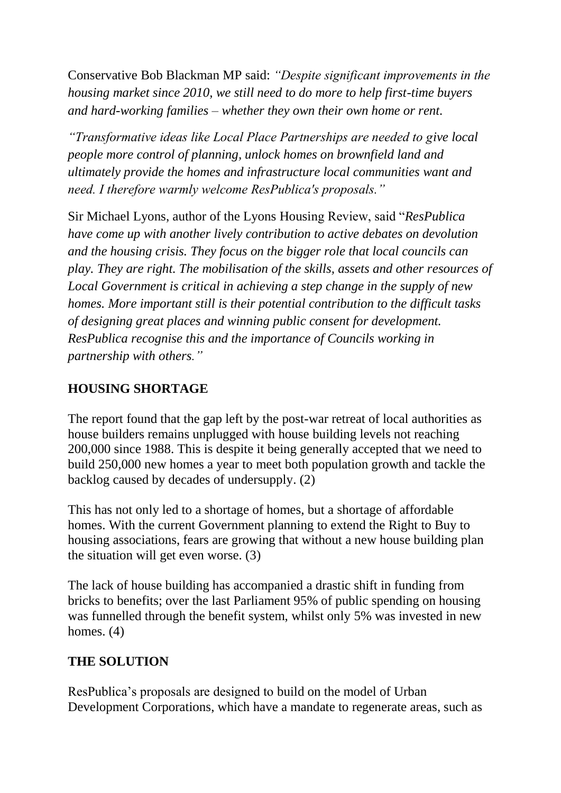Conservative Bob Blackman MP said: *"Despite significant improvements in the housing market since 2010, we still need to do more to help first-time buyers and hard-working families – whether they own their own home or rent.* 

*"Transformative ideas like Local Place Partnerships are needed to give local people more control of planning, unlock homes on brownfield land and ultimately provide the homes and infrastructure local communities want and need. I therefore warmly welcome ResPublica's proposals."*

Sir Michael Lyons, author of the Lyons Housing Review, said "*ResPublica have come up with another lively contribution to active debates on devolution and the housing crisis. They focus on the bigger role that local councils can play. They are right. The mobilisation of the skills, assets and other resources of Local Government is critical in achieving a step change in the supply of new homes. More important still is their potential contribution to the difficult tasks of designing great places and winning public consent for development. ResPublica recognise this and the importance of Councils working in partnership with others."*

### **HOUSING SHORTAGE**

The report found that the gap left by the post-war retreat of local authorities as house builders remains unplugged with house building levels not reaching 200,000 since 1988. This is despite it being generally accepted that we need to build 250,000 new homes a year to meet both population growth and tackle the backlog caused by decades of undersupply. (2)

This has not only led to a shortage of homes, but a shortage of affordable homes. With the current Government planning to extend the Right to Buy to housing associations, fears are growing that without a new house building plan the situation will get even worse. (3)

The lack of house building has accompanied a drastic shift in funding from bricks to benefits; over the last Parliament 95% of public spending on housing was funnelled through the benefit system, whilst only 5% was invested in new homes. (4)

#### **THE SOLUTION**

ResPublica's proposals are designed to build on the model of Urban Development Corporations, which have a mandate to regenerate areas, such as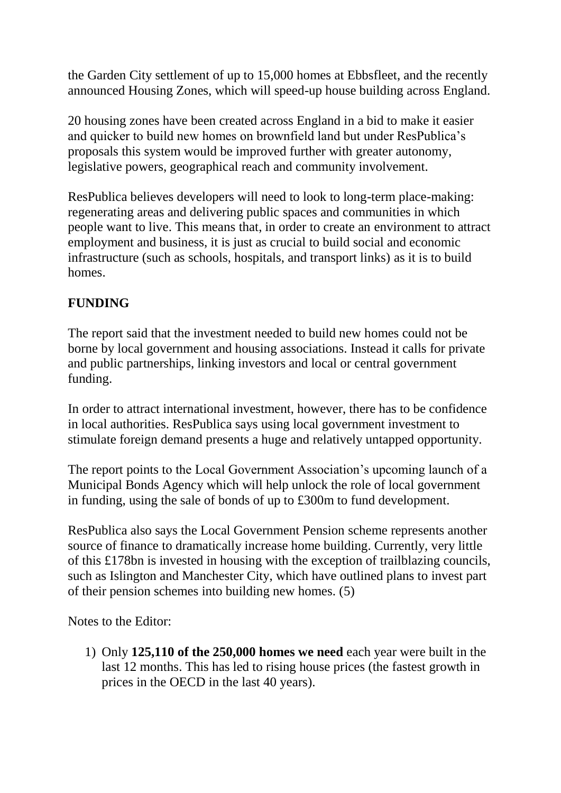the Garden City settlement of up to 15,000 homes at Ebbsfleet, and the recently announced Housing Zones, which will speed-up house building across England.

20 housing zones have been created across England in a bid to make it easier and quicker to build new homes on brownfield land but under ResPublica's proposals this system would be improved further with greater autonomy, legislative powers, geographical reach and community involvement.

ResPublica believes developers will need to look to long-term place-making: regenerating areas and delivering public spaces and communities in which people want to live. This means that, in order to create an environment to attract employment and business, it is just as crucial to build social and economic infrastructure (such as schools, hospitals, and transport links) as it is to build homes.

## **FUNDING**

The report said that the investment needed to build new homes could not be borne by local government and housing associations. Instead it calls for private and public partnerships, linking investors and local or central government funding.

In order to attract international investment, however, there has to be confidence in local authorities. ResPublica says using local government investment to stimulate foreign demand presents a huge and relatively untapped opportunity.

The report points to the Local Government Association's upcoming launch of a Municipal Bonds Agency which will help unlock the role of local government in funding, using the sale of bonds of up to £300m to fund development.

ResPublica also says the Local Government Pension scheme represents another source of finance to dramatically increase home building. Currently, very little of this £178bn is invested in housing with the exception of trailblazing councils, such as Islington and Manchester City, which have outlined plans to invest part of their pension schemes into building new homes. (5)

Notes to the Editor:

1) Only **125,110 of the 250,000 homes we need** each year were built in the last 12 months. This has led to rising house prices (the fastest growth in prices in the OECD in the last 40 years).